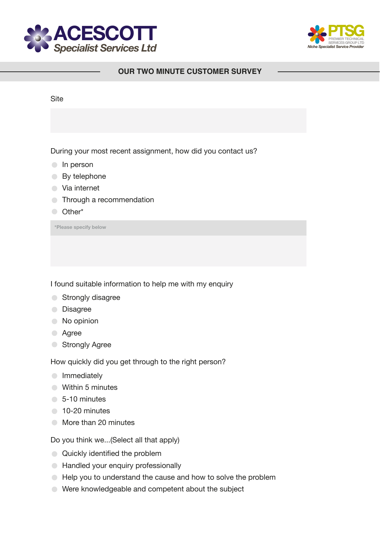



## **OUR TWO MINUTE CUSTOMER SURVEY**

| <b>Site</b>                                                 |
|-------------------------------------------------------------|
|                                                             |
| During your most recent assignment, how did you contact us? |
| In person                                                   |
| By telephone                                                |
| Via internet                                                |
| Through a recommendation                                    |
| Other*                                                      |
| *Please specify below                                       |
|                                                             |
|                                                             |

I found suitable information to help me with my enquiry

- **Strongly disagree**
- **Disagree**
- $\bullet$  No opinion
- **Agree**
- **Strongly Agree**

How quickly did you get through to the right person?

- **Immediately**
- **Within 5 minutes**
- 5-10 minutes
- <sup>10-20</sup> minutes
- More than 20 minutes

Do you think we...(Select all that apply)

- Quickly identified the problem
- **Handled your enquiry professionally**
- $\bullet$  Help you to understand the cause and how to solve the problem
- Were knowledgeable and competent about the subject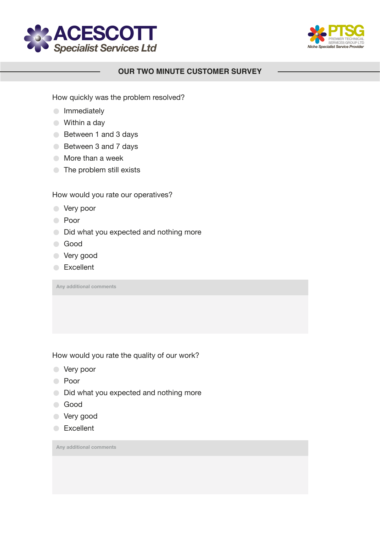



## **OUR TWO MINUTE CUSTOMER SURVEY**

How quickly was the problem resolved?

- **Immediately**
- Within a day
- Between 1 and 3 days
- Between 3 and 7 days
- **■** More than a week
- **The problem still exists**

How would you rate our operatives?

- **Very poor**
- Poor
- $\bigcirc$  Did what you expected and nothing more
- **Good**
- Very good
- **Excellent**

**Any additional comments**

How would you rate the quality of our work?

- Very poor
- Poor
- $\bigcirc$  Did what you expected and nothing more
- Good
- Very good
- **Excellent**

**Any additional comments**